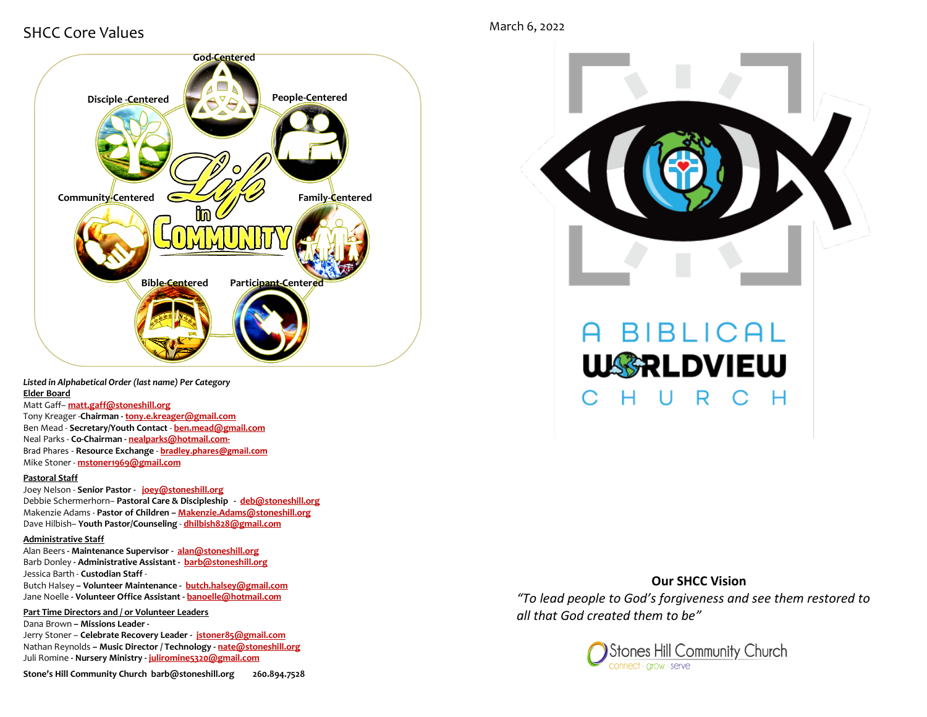## SHCC Core Values



*Listed in Alphabetical Order (last name) Per Category* **Elder Board**

Matt Gaff– **matt.gaff@stoneshill.org** 

Tony Kreager -**Chairman - [tony.e.kreager@gmail.com](mailto:tony.e.kreager@gmail.com)** Ben Mead - **Secretary/Youth Contact** - **[ben.mead@gmail.com](mailto:ben.mead@gmail.com)** Neal Parks - **Co-Chairman - nealparks@hotmail.com-**Brad Phares - **Resource Exchange** - **bradley.phares@gmail.com** Mike Stoner - **mstoner1969@gmail.com**

#### **Pastoral Staff**

Joey Nelson - **Senior Pastor - [joey@stoneshill.org](mailto:joey@stoneshill.org)** Debbie Schermerhorn– **Pastoral Care & Discipleship - [deb@stoneshill.org](mailto:deb@stoneshill.org)** Makenzie Adams - **Pastor of Children – Makenzie.Adams@stoneshill.org** Dave Hilbish– **Youth Pastor/Counseling** - **[dhilbish828@gmail.com](mailto:dhilbish828@gmail.com)**

#### **Administrative Staff**

Alan Beers **- Maintenance Supervisor - [alan@stoneshill.org](mailto:alan@stoneshill.org)** Barb Donley **- Administrative Assistant - [barb@stoneshill.org](mailto:barb@stoneshill.org)** Jessica Barth - **Custodian Staff** - Butch Halsey **– Volunteer Maintenance - butch.halsey@gmail.com** Jane Noelle **- Volunteer Office Assistant - banoelle@hotmail.com**

**Part Time Directors and / or Volunteer Leaders** Dana Brown **– Missions Leader -** 

Jerry Stoner – **Celebrate Recovery Leader - jstoner85@gmail.com** Nathan Reynolds **– Music Director / Technology - [nate@stoneshill.org](mailto:nate@stoneshill.org)** Juli Romine **- Nursery Ministry - juliromine5320@gmail.com**

March 6, 2022



# **BIBLICAL WARLDVIEW** U R C H

## **Our SHCC Vision** *"To lead people to God's forgiveness and see them restored to all that God created them to be"*